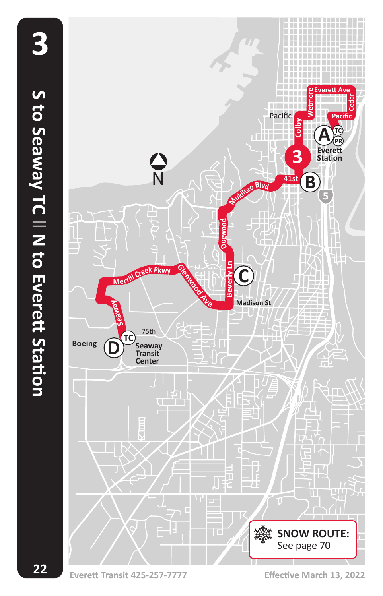**22**

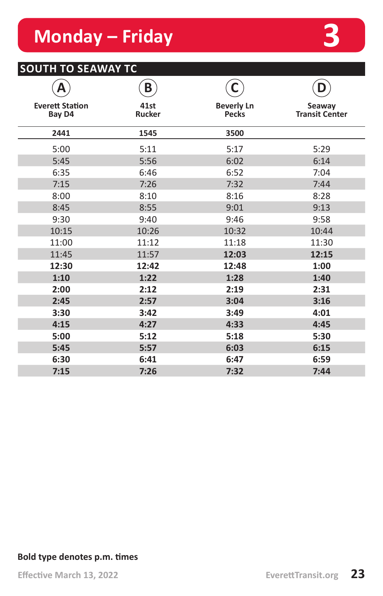# **Monday – Friday 3**

### **SOUTH TO SEAWAY TC**

|                                  | B                     |                                   | D                               |
|----------------------------------|-----------------------|-----------------------------------|---------------------------------|
| <b>Everett Station</b><br>Bay D4 | 41st<br><b>Rucker</b> | <b>Beverly Ln</b><br><b>Pecks</b> | Seaway<br><b>Transit Center</b> |
| 2441                             | 1545                  | 3500                              |                                 |
| 5:00                             | 5:11                  | 5:17                              | 5:29                            |
| 5:45                             | 5:56                  | 6:02                              | 6:14                            |
| 6:35                             | 6:46                  | 6:52                              | 7:04                            |
| 7:15                             | 7:26                  | 7:32                              | 7:44                            |
| 8:00                             | 8:10                  | 8:16                              | 8:28                            |
| 8:45                             | 8:55                  | 9:01                              | 9:13                            |
| 9:30                             | 9:40                  | 9:46                              | 9:58                            |
| 10:15                            | 10:26                 | 10:32                             | 10:44                           |
| 11:00                            | 11:12                 | 11:18                             | 11:30                           |
| 11:45                            | 11:57                 | 12:03                             | 12:15                           |
| 12:30                            | 12:42                 | 12:48                             | 1:00                            |
| 1:10                             | 1:22                  | 1:28                              | 1:40                            |
| 2:00                             | 2:12                  | 2:19                              | 2:31                            |
| 2:45                             | 2:57                  | 3:04                              | 3:16                            |
| 3:30                             | 3:42                  | 3:49                              | 4:01                            |
| 4:15                             | 4:27                  | 4:33                              | 4:45                            |
| 5:00                             | 5:12                  | 5:18                              | 5:30                            |
| 5:45                             | 5:57                  | 6:03                              | 6:15                            |
| 6:30                             | 6:41                  | 6:47                              | 6:59                            |
| 7:15                             | 7:26                  | 7:32                              | 7:44                            |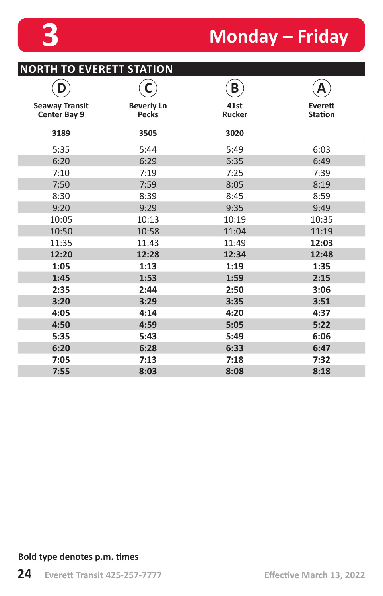## **3 Monday – Friday**

| <b>NORTH TO EVERETT STATION</b>              |                                   |                       |                           |  |
|----------------------------------------------|-----------------------------------|-----------------------|---------------------------|--|
| D                                            | С                                 | B                     | Α                         |  |
| <b>Seaway Transit</b><br><b>Center Bay 9</b> | <b>Beverly Ln</b><br><b>Pecks</b> | 41st<br><b>Rucker</b> | Everett<br><b>Station</b> |  |
| 3189                                         | 3505                              | 3020                  |                           |  |
| 5:35                                         | 5:44                              | 5:49                  | 6:03                      |  |
| 6:20                                         | 6:29                              | 6:35                  | 6:49                      |  |
| 7:10                                         | 7:19                              | 7:25                  | 7:39                      |  |
| 7:50                                         | 7:59                              | 8:05                  | 8:19                      |  |
| 8:30                                         | 8:39                              | 8:45                  | 8:59                      |  |
| 9:20                                         | 9:29                              | 9:35                  | 9:49                      |  |
| 10:05                                        | 10:13                             | 10:19                 | 10:35                     |  |
| 10:50                                        | 10:58                             | 11:04                 | 11:19                     |  |
| 11:35                                        | 11:43                             | 11:49                 | 12:03                     |  |
| 12:20                                        | 12:28                             | 12:34                 | 12:48                     |  |
| 1:05                                         | 1:13                              | 1:19                  | 1:35                      |  |
| 1:45                                         | 1:53                              | 1:59                  | 2:15                      |  |
| 2:35                                         | 2:44                              | 2:50                  | 3:06                      |  |
| 3:20                                         | 3:29                              | 3:35                  | 3:51                      |  |
| 4:05                                         | 4:14                              | 4:20                  | 4:37                      |  |
| 4:50                                         | 4:59                              | 5:05                  | 5:22                      |  |
| 5:35                                         | 5:43                              | 5:49                  | 6:06                      |  |
| 6:20                                         | 6:28                              | 6:33                  | 6:47                      |  |
| 7:05                                         | 7:13                              | 7:18                  | 7:32                      |  |
| 7:55                                         | 8:03                              | 8:08                  | 8:18                      |  |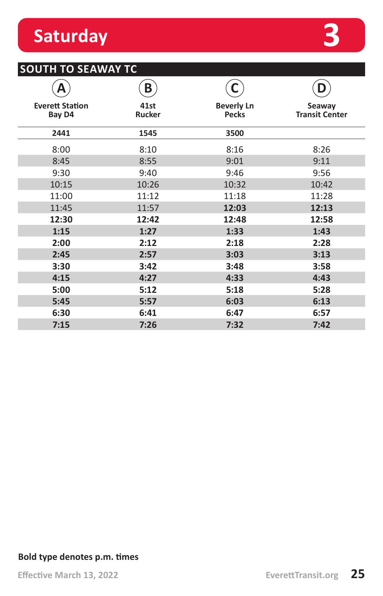## **Saturday 3**

## **SOUTH TO SEAWAY TC**

|                                  | B              |                                   | D                               |
|----------------------------------|----------------|-----------------------------------|---------------------------------|
| <b>Everett Station</b><br>Bay D4 | 41st<br>Rucker | <b>Beverly Ln</b><br><b>Pecks</b> | Seaway<br><b>Transit Center</b> |
| 2441                             | 1545           | 3500                              |                                 |
| 8:00                             | 8:10           | 8:16                              | 8:26                            |
| 8:45                             | 8:55           | 9:01                              | 9:11                            |
| 9:30                             | 9:40           | 9:46                              | 9:56                            |
| 10:15                            | 10:26          | 10:32                             | 10:42                           |
| 11:00                            | 11:12          | 11:18                             | 11:28                           |
| 11:45                            | 11:57          | 12:03                             | 12:13                           |
| 12:30                            | 12:42          | 12:48                             | 12:58                           |
| 1:15                             | 1:27           | 1:33                              | 1:43                            |
| 2:00                             | 2:12           | 2:18                              | 2:28                            |
| 2:45                             | 2:57           | 3:03                              | 3:13                            |
| 3:30                             | 3:42           | 3:48                              | 3:58                            |
| 4:15                             | 4:27           | 4:33                              | 4:43                            |
| 5:00                             | 5:12           | 5:18                              | 5:28                            |
| 5:45                             | 5:57           | 6:03                              | 6:13                            |
| 6:30                             | 6:41           | 6:47                              | 6:57                            |
| 7:15                             | 7:26           | 7:32                              | 7:42                            |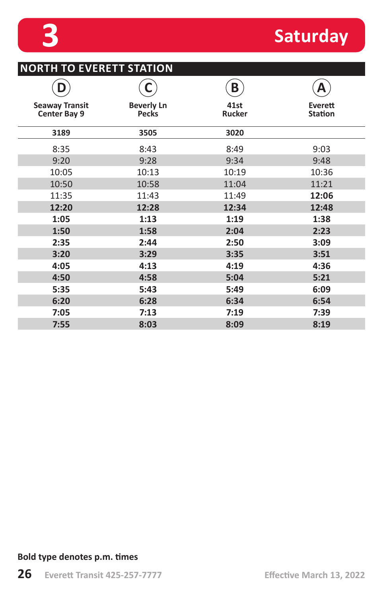# **3 Saturday**

|                                              | С                                 | B              | А                         |
|----------------------------------------------|-----------------------------------|----------------|---------------------------|
| <b>Seaway Transit</b><br><b>Center Bay 9</b> | <b>Beverly Ln</b><br><b>Pecks</b> | 41st<br>Rucker | Everett<br><b>Station</b> |
| 3189                                         | 3505                              | 3020           |                           |
| 8:35                                         | 8:43                              | 8:49           | 9:03                      |
| 9:20                                         | 9:28                              | 9:34           | 9:48                      |
| 10:05                                        | 10:13                             | 10:19          | 10:36                     |
| 10:50                                        | 10:58                             | 11:04          | 11:21                     |
| 11:35                                        | 11:43                             | 11:49          | 12:06                     |
| 12:20                                        | 12:28                             | 12:34          | 12:48                     |
| 1:05                                         | 1:13                              | 1:19           | 1:38                      |
| 1:50                                         | 1:58                              | 2:04           | 2:23                      |
| 2:35                                         | 2:44                              | 2:50           | 3:09                      |
| 3:20                                         | 3:29                              | 3:35           | 3:51                      |
| 4:05                                         | 4:13                              | 4:19           | 4:36                      |
| 4:50                                         | 4:58                              | 5:04           | 5:21                      |
| 5:35                                         | 5:43                              | 5:49           | 6:09                      |
| 6:20                                         | 6:28                              | 6:34           | 6:54                      |
| 7:05                                         | 7:13                              | 7:19           | 7:39                      |
| 7:55                                         | 8:03                              | 8:09           | 8:19                      |